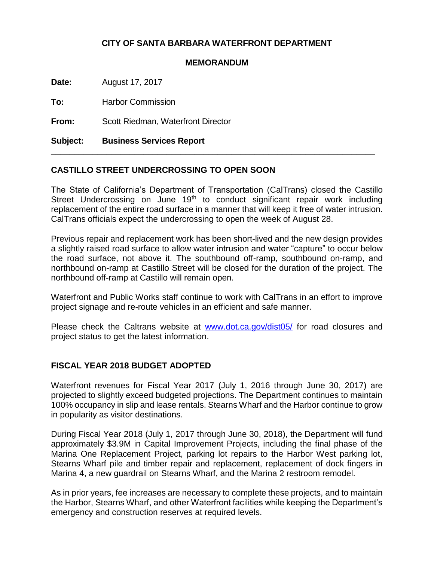## **CITY OF SANTA BARBARA WATERFRONT DEPARTMENT**

## **MEMORANDUM**

**Date:** August 17, 2017

**To:** Harbor Commission

**From:** Scott Riedman, Waterfront Director

**Subject: Business Services Report**

## **CASTILLO STREET UNDERCROSSING TO OPEN SOON**

The State of California's Department of Transportation (CalTrans) closed the Castillo Street Undercrossing on June 19<sup>th</sup> to conduct significant repair work including replacement of the entire road surface in a manner that will keep it free of water intrusion. CalTrans officials expect the undercrossing to open the week of August 28.

\_\_\_\_\_\_\_\_\_\_\_\_\_\_\_\_\_\_\_\_\_\_\_\_\_\_\_\_\_\_\_\_\_\_\_\_\_\_\_\_\_\_\_\_\_\_\_\_\_\_\_\_\_\_\_\_\_\_\_\_\_\_\_\_\_\_\_\_\_\_

Previous repair and replacement work has been short-lived and the new design provides a slightly raised road surface to allow water intrusion and water "capture" to occur below the road surface, not above it. The southbound off-ramp, southbound on-ramp, and northbound on-ramp at Castillo Street will be closed for the duration of the project. The northbound off-ramp at Castillo will remain open.

Waterfront and Public Works staff continue to work with CalTrans in an effort to improve project signage and re-route vehicles in an efficient and safe manner.

Please check the Caltrans website at [www.dot.ca.gov/dist05/](http://www.dot.ca.gov/dist05/) for road closures and project status to get the latest information.

## **FISCAL YEAR 2018 BUDGET ADOPTED**

Waterfront revenues for Fiscal Year 2017 (July 1, 2016 through June 30, 2017) are projected to slightly exceed budgeted projections. The Department continues to maintain 100% occupancy in slip and lease rentals. Stearns Wharf and the Harbor continue to grow in popularity as visitor destinations.

During Fiscal Year 2018 (July 1, 2017 through June 30, 2018), the Department will fund approximately \$3.9M in Capital Improvement Projects, including the final phase of the Marina One Replacement Project, parking lot repairs to the Harbor West parking lot, Stearns Wharf pile and timber repair and replacement, replacement of dock fingers in Marina 4, a new guardrail on Stearns Wharf, and the Marina 2 restroom remodel.

As in prior years, fee increases are necessary to complete these projects, and to maintain the Harbor, Stearns Wharf, and other Waterfront facilities while keeping the Department's emergency and construction reserves at required levels.